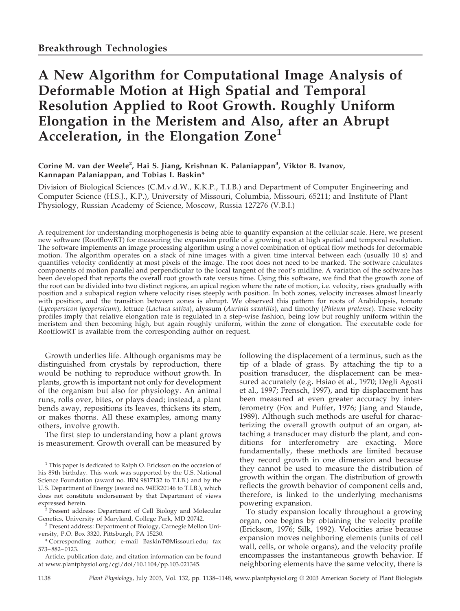# **A New Algorithm for Computational Image Analysis of Deformable Motion at High Spatial and Temporal Resolution Applied to Root Growth. Roughly Uniform Elongation in the Meristem and Also, after an Abrupt Acceleration, in the Elongation Zone<sup>1</sup>**

## **Corine M. van der Weele<sup>2</sup> , Hai S. Jiang, Krishnan K. Palaniappan<sup>3</sup> , Viktor B. Ivanov, Kannapan Palaniappan, and Tobias I. Baskin\***

Division of Biological Sciences (C.M.v.d.W., K.K.P., T.I.B.) and Department of Computer Engineering and Computer Science (H.S.J., K.P.), University of Missouri, Columbia, Missouri, 65211; and Institute of Plant Physiology, Russian Academy of Science, Moscow, Russia 127276 (V.B.I.)

A requirement for understanding morphogenesis is being able to quantify expansion at the cellular scale. Here, we present new software (RootflowRT) for measuring the expansion profile of a growing root at high spatial and temporal resolution. The software implements an image processing algorithm using a novel combination of optical flow methods for deformable motion. The algorithm operates on a stack of nine images with a given time interval between each (usually 10 s) and quantifies velocity confidently at most pixels of the image. The root does not need to be marked. The software calculates components of motion parallel and perpendicular to the local tangent of the root's midline. A variation of the software has been developed that reports the overall root growth rate versus time. Using this software, we find that the growth zone of the root can be divided into two distinct regions, an apical region where the rate of motion, i.e. velocity, rises gradually with position and a subapical region where velocity rises steeply with position. In both zones, velocity increases almost linearly with position, and the transition between zones is abrupt. We observed this pattern for roots of Arabidopsis, tomato (*Lycopersicon lycopersicum*), lettuce (*Lactuca sativa*), alyssum (*Aurinia saxatilis*), and timothy (*Phleum pratense*). These velocity profiles imply that relative elongation rate is regulated in a step-wise fashion, being low but roughly uniform within the meristem and then becoming high, but again roughly uniform, within the zone of elongation. The executable code for RootflowRT is available from the corresponding author on request.

Growth underlies life. Although organisms may be distinguished from crystals by reproduction, there would be nothing to reproduce without growth. In plants, growth is important not only for development of the organism but also for physiology. An animal runs, rolls over, bites, or plays dead; instead, a plant bends away, repositions its leaves, thickens its stem, or makes thorns. All these examples, among many others, involve growth.

The first step to understanding how a plant grows is measurement. Growth overall can be measured by

<sup>2</sup> Present address: Department of Cell Biology and Molecular Genetics, University of Maryland, College Park, MD 20742.

following the displacement of a terminus, such as the tip of a blade of grass. By attaching the tip to a position transducer, the displacement can be measured accurately (e.g. Hsiao et al., 1970; Degli Agosti et al., 1997; Frensch, 1997), and tip displacement has been measured at even greater accuracy by interferometry (Fox and Puffer, 1976; Jiang and Staude, 1989). Although such methods are useful for characterizing the overall growth output of an organ, attaching a transducer may disturb the plant, and conditions for interferometry are exacting. More fundamentally, these methods are limited because they record growth in one dimension and because they cannot be used to measure the distribution of growth within the organ. The distribution of growth reflects the growth behavior of component cells and, therefore, is linked to the underlying mechanisms powering expansion.

To study expansion locally throughout a growing organ, one begins by obtaining the velocity profile (Erickson, 1976; Silk, 1992). Velocities arise because expansion moves neighboring elements (units of cell wall, cells, or whole organs), and the velocity profile encompasses the instantaneous growth behavior. If neighboring elements have the same velocity, there is

<sup>&</sup>lt;sup>1</sup> This paper is dedicated to Ralph O. Erickson on the occasion of his 89th birthday. This work was supported by the U.S. National Science Foundation (award no. IBN 9817132 to T.I.B.) and by the U.S. Department of Energy (award no. 94ER20146 to T.I.B.), which does not constitute endorsement by that Department of views expressed herein.

<sup>&</sup>lt;sup>3</sup> Present address: Department of Biology, Carnegie Mellon University, P.O. Box 3320, Pittsburgh, PA 15230.

<sup>\*</sup> Corresponding author; e-mail BaskinT@Missouri.edu; fax 573–882–0123.

Article, publication date, and citation information can be found at www.plantphysiol.org/cgi/doi/10.1104/pp.103.021345.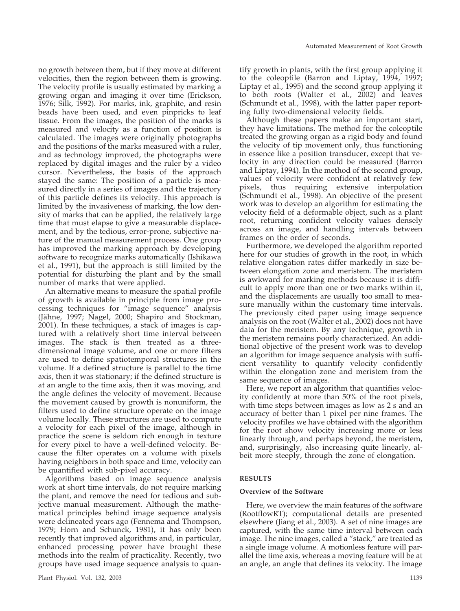no growth between them, but if they move at different velocities, then the region between them is growing. The velocity profile is usually estimated by marking a growing organ and imaging it over time (Erickson, 1976; Silk, 1992). For marks, ink, graphite, and resin beads have been used, and even pinpricks to leaf tissue. From the images, the position of the marks is measured and velocity as a function of position is calculated. The images were originally photographs and the positions of the marks measured with a ruler, and as technology improved, the photographs were replaced by digital images and the ruler by a video cursor. Nevertheless, the basis of the approach stayed the same: The position of a particle is measured directly in a series of images and the trajectory of this particle defines its velocity. This approach is limited by the invasiveness of marking, the low density of marks that can be applied, the relatively large time that must elapse to give a measurable displacement, and by the tedious, error-prone, subjective nature of the manual measurement process. One group has improved the marking approach by developing software to recognize marks automatically (Ishikawa et al., 1991), but the approach is still limited by the potential for disturbing the plant and by the small number of marks that were applied.

An alternative means to measure the spatial profile of growth is available in principle from image processing techniques for "image sequence" analysis (Jähne, 1997; Nagel, 2000; Shapiro and Stockman, 2001). In these techniques, a stack of images is captured with a relatively short time interval between images. The stack is then treated as a threedimensional image volume, and one or more filters are used to define spatiotemporal structures in the volume. If a defined structure is parallel to the time axis, then it was stationary; if the defined structure is at an angle to the time axis, then it was moving, and the angle defines the velocity of movement. Because the movement caused by growth is nonuniform, the filters used to define structure operate on the image volume locally. These structures are used to compute a velocity for each pixel of the image, although in practice the scene is seldom rich enough in texture for every pixel to have a well-defined velocity. Because the filter operates on a volume with pixels having neighbors in both space and time, velocity can be quantified with sub-pixel accuracy.

Algorithms based on image sequence analysis work at short time intervals, do not require marking the plant, and remove the need for tedious and subjective manual measurement. Although the mathematical principles behind image sequence analysis were delineated years ago (Fennema and Thompson, 1979; Horn and Schunck, 1981), it has only been recently that improved algorithms and, in particular, enhanced processing power have brought these methods into the realm of practicality. Recently, two groups have used image sequence analysis to quantify growth in plants, with the first group applying it to the coleoptile (Barron and Liptay, 1994, 1997; Liptay et al., 1995) and the second group applying it to both roots (Walter et al., 2002) and leaves (Schmundt et al., 1998), with the latter paper reporting fully two-dimensional velocity fields.

Although these papers make an important start, they have limitations. The method for the coleoptile treated the growing organ as a rigid body and found the velocity of tip movement only, thus functioning in essence like a position transducer, except that velocity in any direction could be measured (Barron and Liptay, 1994). In the method of the second group, values of velocity were confident at relatively few pixels, thus requiring extensive interpolation (Schmundt et al., 1998). An objective of the present work was to develop an algorithm for estimating the velocity field of a deformable object, such as a plant root, returning confident velocity values densely across an image, and handling intervals between frames on the order of seconds.

Furthermore, we developed the algorithm reported here for our studies of growth in the root, in which relative elongation rates differ markedly in size between elongation zone and meristem. The meristem is awkward for marking methods because it is difficult to apply more than one or two marks within it, and the displacements are usually too small to measure manually within the customary time intervals. The previously cited paper using image sequence analysis on the root (Walter et al., 2002) does not have data for the meristem. By any technique, growth in the meristem remains poorly characterized. An additional objective of the present work was to develop an algorithm for image sequence analysis with sufficient versatility to quantify velocity confidently within the elongation zone and meristem from the same sequence of images.

Here, we report an algorithm that quantifies velocity confidently at more than 50% of the root pixels, with time steps between images as low as 2 s and an accuracy of better than 1 pixel per nine frames. The velocity profiles we have obtained with the algorithm for the root show velocity increasing more or less linearly through, and perhaps beyond, the meristem, and, surprisingly, also increasing quite linearly, albeit more steeply, through the zone of elongation.

## **RESULTS**

#### **Overview of the Software**

Here, we overview the main features of the software (RootflowRT); computational details are presented elsewhere (Jiang et al., 2003). A set of nine images are captured, with the same time interval between each image. The nine images, called a "stack," are treated as a single image volume. A motionless feature will parallel the time axis, whereas a moving feature will be at an angle, an angle that defines its velocity. The image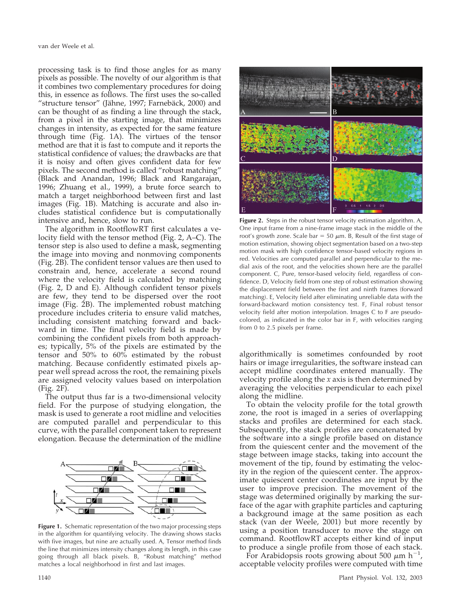processing task is to find those angles for as many pixels as possible. The novelty of our algorithm is that it combines two complementary procedures for doing this, in essence as follows. The first uses the so-called "structure tensor" (Jähne, 1997; Farnebäck, 2000) and can be thought of as finding a line through the stack, from a pixel in the starting image, that minimizes changes in intensity, as expected for the same feature through time (Fig. 1A). The virtues of the tensor method are that it is fast to compute and it reports the statistical confidence of values; the drawbacks are that it is noisy and often gives confident data for few pixels. The second method is called "robust matching" (Black and Anandan, 1996; Black and Rangarajan, 1996; Zhuang et al., 1999), a brute force search to match a target neighborhood between first and last images (Fig. 1B). Matching is accurate and also includes statistical confidence but is computationally intensive and, hence, slow to run.

The algorithm in RootflowRT first calculates a velocity field with the tensor method (Fig. 2, A–C). The tensor step is also used to define a mask, segmenting the image into moving and nonmoving components (Fig. 2B). The confident tensor values are then used to constrain and, hence, accelerate a second round where the velocity field is calculated by matching (Fig. 2, D and E). Although confident tensor pixels are few, they tend to be dispersed over the root image (Fig. 2B). The implemented robust matching procedure includes criteria to ensure valid matches, including consistent matching forward and backward in time. The final velocity field is made by combining the confident pixels from both approaches; typically, 5% of the pixels are estimated by the tensor and 50% to 60% estimated by the robust matching. Because confidently estimated pixels appear well spread across the root, the remaining pixels are assigned velocity values based on interpolation (Fig. 2F).

The output thus far is a two-dimensional velocity field. For the purpose of studying elongation, the mask is used to generate a root midline and velocities are computed parallel and perpendicular to this curve, with the parallel component taken to represent elongation. Because the determination of the midline



**Figure 1.** Schematic representation of the two major processing steps in the algorithm for quantifying velocity. The drawing shows stacks with five images, but nine are actually used. A, Tensor method finds the line that minimizes intensity changes along its length, in this case going through all black pixels. B, "Robust matching" method matches a local neighborhood in first and last images.



**Figure 2.** Steps in the robust tensor velocity estimation algorithm. A, One input frame from a nine-frame image stack in the middle of the root's growth zone. Scale bar = 50  $\mu$ m. B, Result of the first stage of motion estimation, showing object segmentation based on a two-step motion mask with high confidence tensor-based velocity regions in red. Velocities are computed parallel and perpendicular to the medial axis of the root, and the velocities shown here are the parallel component. C, Pure, tensor-based velocity field, regardless of confidence. D, Velocity field from one step of robust estimation showing the displacement field between the first and ninth frames (forward matching). E, Velocity field after eliminating unreliable data with the forward-backward motion consistency test. F, Final robust tensor velocity field after motion interpolation. Images C to F are pseudocolored, as indicated in the color bar in F, with velocities ranging from 0 to 2.5 pixels per frame.

algorithmically is sometimes confounded by root hairs or image irregularities, the software instead can accept midline coordinates entered manually. The velocity profile along the *x* axis is then determined by averaging the velocities perpendicular to each pixel along the midline.

To obtain the velocity profile for the total growth zone, the root is imaged in a series of overlapping stacks and profiles are determined for each stack. Subsequently, the stack profiles are concatenated by the software into a single profile based on distance from the quiescent center and the movement of the stage between image stacks, taking into account the movement of the tip, found by estimating the velocity in the region of the quiescent center. The approximate quiescent center coordinates are input by the user to improve precision. The movement of the stage was determined originally by marking the surface of the agar with graphite particles and capturing a background image at the same position as each stack (van der Weele, 2001) but more recently by using a position transducer to move the stage on command. RootflowRT accepts either kind of input to produce a single profile from those of each stack.

For Arabidopsis roots growing about 500  $\mu$ m h<sup>-1</sup>, acceptable velocity profiles were computed with time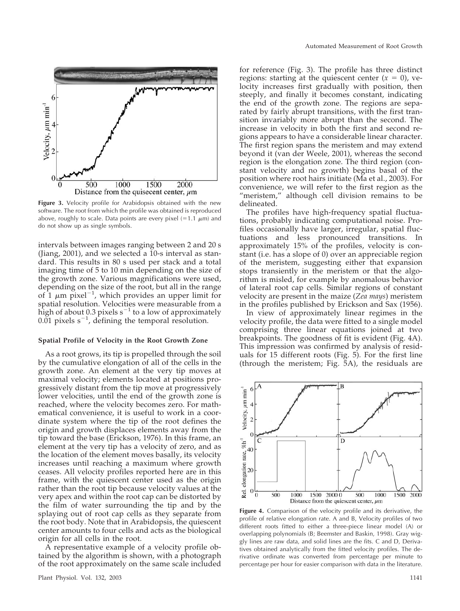

**Figure 3.** Velocity profile for Arabidopsis obtained with the new software. The root from which the profile was obtained is reproduced above, roughly to scale. Data points are every pixel  $(=1.1 \mu m)$  and do not show up as single symbols.

intervals between images ranging between 2 and 20 s (Jiang, 2001), and we selected a 10-s interval as standard. This results in 80 s used per stack and a total imaging time of 5 to 10 min depending on the size of the growth zone. Various magnifications were used, depending on the size of the root, but all in the range of 1  $\mu$ m pixel<sup>-1</sup>, which provides an upper limit for spatial resolution. Velocities were measurable from a high of about 0.3 pixels  $s^{-1}$  to a low of approximately  $0.01$  pixels s<sup>-1</sup>, defining the temporal resolution.

#### **Spatial Profile of Velocity in the Root Growth Zone**

As a root grows, its tip is propelled through the soil by the cumulative elongation of all of the cells in the growth zone. An element at the very tip moves at maximal velocity; elements located at positions progressively distant from the tip move at progressively lower velocities, until the end of the growth zone is reached, where the velocity becomes zero. For mathematical convenience, it is useful to work in a coordinate system where the tip of the root defines the origin and growth displaces elements away from the tip toward the base (Erickson, 1976). In this frame, an element at the very tip has a velocity of zero, and as the location of the element moves basally, its velocity increases until reaching a maximum where growth ceases. All velocity profiles reported here are in this frame, with the quiescent center used as the origin rather than the root tip because velocity values at the very apex and within the root cap can be distorted by the film of water surrounding the tip and by the splaying out of root cap cells as they separate from the root body. Note that in Arabidopsis, the quiescent center amounts to four cells and acts as the biological origin for all cells in the root.

A representative example of a velocity profile obtained by the algorithm is shown, with a photograph of the root approximately on the same scale included

for reference (Fig. 3). The profile has three distinct regions: starting at the quiescent center  $(x = 0)$ , velocity increases first gradually with position, then steeply, and finally it becomes constant, indicating the end of the growth zone. The regions are separated by fairly abrupt transitions, with the first transition invariably more abrupt than the second. The increase in velocity in both the first and second regions appears to have a considerable linear character. The first region spans the meristem and may extend beyond it (van der Weele, 2001), whereas the second region is the elongation zone. The third region (constant velocity and no growth) begins basal of the position where root hairs initiate (Ma et al., 2003). For convenience, we will refer to the first region as the "meristem," although cell division remains to be delineated.

The profiles have high-frequency spatial fluctuations, probably indicating computational noise. Profiles occasionally have larger, irregular, spatial fluctuations and less pronounced transitions. In approximately 15% of the profiles, velocity is constant (i.e. has a slope of 0) over an appreciable region of the meristem, suggesting either that expansion stops transiently in the meristem or that the algorithm is misled, for example by anomalous behavior of lateral root cap cells. Similar regions of constant velocity are present in the maize (*Zea mays*) meristem in the profiles published by Erickson and Sax (1956).

In view of approximately linear regimes in the velocity profile, the data were fitted to a single model comprising three linear equations joined at two breakpoints. The goodness of fit is evident (Fig. 4A). This impression was confirmed by analysis of residuals for 15 different roots (Fig. 5). For the first line (through the meristem; Fig. 5A), the residuals are



**Figure 4.** Comparison of the velocity profile and its derivative, the profile of relative elongation rate. A and B, Velocity profiles of two different roots fitted to either a three-piece linear model (A) or overlapping polynomials (B; Beemster and Baskin, 1998). Gray wiggly lines are raw data, and solid lines are the fits. C and D, Derivatives obtained analytically from the fitted velocity profiles. The derivative ordinate was converted from percentage per minute to percentage per hour for easier comparison with data in the literature.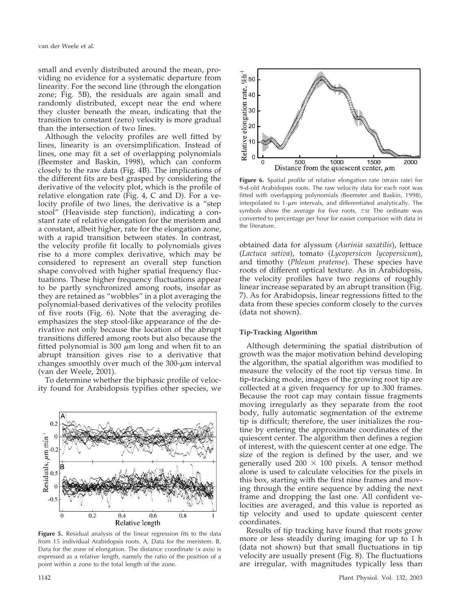small and evenly distributed around the mean, providing no evidence for a systematic departure from linearity. For the second line (through the elongation zone; Fig. 5B), the residuals are again small and randomly distributed, except near the end where they cluster beneath the mean, indicating that the transition to constant (zero) velocity is more gradual than the intersection of two lines.

Although the velocity profiles are well fitted by lines, linearity is an oversimplification. Instead of lines, one may fit a set of overlapping polynomials (Beemster and Baskin, 1998), which can conform closely to the raw data (Fig. 4B). The implications of the different fits are best grasped by considering the derivative of the velocity plot, which is the profile of relative elongation rate (Fig. 4, C and D). For a velocity profile of two lines, the derivative is a "step stool" (Heaviside step function), indicating a constant rate of relative elongation for the meristem and a constant, albeit higher, rate for the elongation zone, with a rapid transition between states. In contrast, the velocity profile fit locally to polynomials gives rise to a more complex derivative, which may be considered to represent an overall step function shape convolved with higher spatial frequency fluctuations. These higher frequency fluctuations appear to be partly synchronized among roots, insofar as they are retained as "wobbles" in a plot averaging the polynomial-based derivatives of the velocity profiles of five roots (Fig. 6). Note that the averaging deemphasizes the step stool-like appearance of the derivative not only because the location of the abrupt transitions differed among roots but also because the fitted polynomial is 300  $\mu$ m long and when fit to an abrupt transition gives rise to a derivative that changes smoothly over much of the  $300$ - $\mu$ m interval (van der Weele, 2001).

To determine whether the biphasic profile of velocity found for Arabidopsis typifies other species, we



**Figure 5.** Residual analysis of the linear regression fits to the data from 15 individual Arabidopsis roots. A, Data for the meristem. B, Data for the zone of elongation. The distance coordinate (*x* axis) is expressed as a relative length, namely the ratio of the position of a point within a zone to the total length of the zone.



**Figure 6.** Spatial profile of relative elongation rate (strain rate) for 9-d-old Arabidopsis roots. The raw velocity data for each root was fitted with overlapping polynomials (Beemster and Baskin, 1998), interpolated to  $1-\mu m$  intervals, and differentiated analytically. The symbols show the average for five roots,  $\pm$ se The ordinate was converted to percentage per hour for easier comparison with data in the literature.

obtained data for alyssum (*Aurinia saxatilis*), lettuce (*Lactuca sativa*), tomato (*Lycopersicon lycopersicum*), and timothy (*Phleum pratense*). These species have roots of different optical texture. As in Arabidopsis, the velocity profiles have two regions of roughly linear increase separated by an abrupt transition (Fig. 7). As for Arabidopsis, linear regressions fitted to the data from these species conform closely to the curves (data not shown).

## **Tip-Tracking Algorithm**

Although determining the spatial distribution of growth was the major motivation behind developing the algorithm, the spatial algorithm was modified to measure the velocity of the root tip versus time. In tip-tracking mode, images of the growing root tip are collected at a given frequency for up to 300 frames. Because the root cap may contain tissue fragments moving irregularly as they separate from the root body, fully automatic segmentation of the extreme tip is difficult; therefore, the user initializes the routine by entering the approximate coordinates of the quiescent center. The algorithm then defines a region of interest, with the quiescent center at one edge. The size of the region is defined by the user, and we generally used  $200 \times 100$  pixels. A tensor method alone is used to calculate velocities for the pixels in this box, starting with the first nine frames and moving through the entire sequence by adding the next frame and dropping the last one. All confident velocities are averaged, and this value is reported as tip velocity and used to update quiescent center coordinates.

Results of tip tracking have found that roots grow more or less steadily during imaging for up to 1 h (data not shown) but that small fluctuations in tip velocity are usually present (Fig. 8). The fluctuations are irregular, with magnitudes typically less than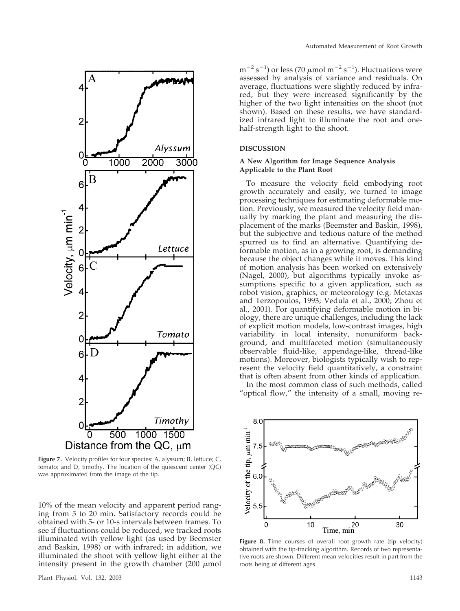

Figure 7. Velocity profiles for four species: A, alyssum; B, lettuce; C, tomato; and D, timothy. The location of the quiescent center (QC) was approximated from the image of the tip.

10% of the mean velocity and apparent period ranging from 5 to 20 min. Satisfactory records could be obtained with 5- or 10-s intervals between frames. To see if fluctuations could be reduced, we tracked roots illuminated with yellow light (as used by Beemster and Baskin, 1998) or with infrared; in addition, we illuminated the shoot with yellow light either at the intensity present in the growth chamber (200  $\mu$ mol

 $\rm m^{-2}\,s^{-1})$  or less (70  $\rm \mu m$ ol m $^{-2}\,s^{-1}$ ). Fluctuations were assessed by analysis of variance and residuals. On average, fluctuations were slightly reduced by infrared, but they were increased significantly by the higher of the two light intensities on the shoot (not shown). Based on these results, we have standardized infrared light to illuminate the root and onehalf-strength light to the shoot.

## **DISCUSSION**

### **A New Algorithm for Image Sequence Analysis Applicable to the Plant Root**

To measure the velocity field embodying root growth accurately and easily, we turned to image processing techniques for estimating deformable motion. Previously, we measured the velocity field manually by marking the plant and measuring the displacement of the marks (Beemster and Baskin, 1998), but the subjective and tedious nature of the method spurred us to find an alternative. Quantifying deformable motion, as in a growing root, is demanding because the object changes while it moves. This kind of motion analysis has been worked on extensively (Nagel, 2000), but algorithms typically invoke assumptions specific to a given application, such as robot vision, graphics, or meteorology (e.g. Metaxas and Terzopoulos, 1993; Vedula et al., 2000; Zhou et al., 2001). For quantifying deformable motion in biology, there are unique challenges, including the lack of explicit motion models, low-contrast images, high variability in local intensity, nonuniform background, and multifaceted motion (simultaneously observable fluid-like, appendage-like, thread-like motions). Moreover, biologists typically wish to represent the velocity field quantitatively, a constraint that is often absent from other kinds of application.

In the most common class of such methods, called "optical flow," the intensity of a small, moving re-



Figure 8. Time courses of overall root growth rate (tip velocity) obtained with the tip-tracking algorithm. Records of two representative roots are shown. Different mean velocities result in part from the roots being of different ages.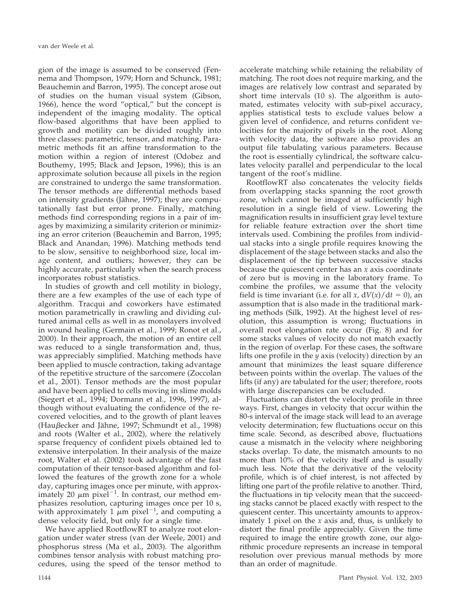gion of the image is assumed to be conserved (Fennema and Thompson, 1979; Horn and Schunck, 1981; Beauchemin and Barron, 1995). The concept arose out of studies on the human visual system (Gibson, 1966), hence the word "optical," but the concept is independent of the imaging modality. The optical flow-based algorithms that have been applied to growth and motility can be divided roughly into three classes: parametric, tensor, and matching. Parametric methods fit an affine transformation to the motion within a region of interest (Odobez and Bouthemy, 1995; Black and Jepson, 1996); this is an approximate solution because all pixels in the region are constrained to undergo the same transformation. The tensor methods are differential methods based on intensity gradients (Jähne, 1997); they are computationally fast but error prone. Finally, matching methods find corresponding regions in a pair of images by maximizing a similarity criterion or minimizing an error criterion (Beauchemin and Barron, 1995; Black and Anandan, 1996). Matching methods tend to be slow, sensitive to neighborhood size, local image content, and outliers; however, they can be highly accurate, particularly when the search process incorporates robust statistics.

In studies of growth and cell motility in biology, there are a few examples of the use of each type of algorithm. Tracqui and coworkers have estimated motion parametrically in crawling and dividing cultured animal cells as well in as monolayers involved in wound healing (Germain et al., 1999; Ronot et al., 2000). In their approach, the motion of an entire cell was reduced to a single transformation and, thus, was appreciably simplified. Matching methods have been applied to muscle contraction, taking advantage of the repetitive structure of the sarcomere (Zoccolan et al., 2001). Tensor methods are the most popular and have been applied to cells moving in slime molds (Siegert et al., 1994; Dormann et al., 1996, 1997), although without evaluating the confidence of the recovered velocities, and to the growth of plant leaves (Haußecker and Jähne, 1997; Schmundt et al., 1998) and roots (Walter et al., 2002), where the relatively sparse frequency of confident pixels obtained led to extensive interpolation. In their analysis of the maize root, Walter et al. (2002) took advantage of the fast computation of their tensor-based algorithm and followed the features of the growth zone for a whole day, capturing images once per minute, with approximately 20  $\mu$ m pixel<sup>-1</sup>. In contrast, our method emphasizes resolution, capturing images once per 10 s, with approximately 1  $\mu$ m pixel<sup>-1</sup>, and computing a dense velocity field, but only for a single time.

We have applied RootflowRT to analyze root elongation under water stress (van der Weele, 2001) and phosphorus stress (Ma et al., 2003). The algorithm combines tensor analysis with robust matching procedures, using the speed of the tensor method to

accelerate matching while retaining the reliability of matching. The root does not require marking, and the images are relatively low contrast and separated by short time intervals (10 s). The algorithm is automated, estimates velocity with sub-pixel accuracy, applies statistical tests to exclude values below a given level of confidence, and returns confident velocities for the majority of pixels in the root. Along with velocity data, the software also provides an output file tabulating various parameters. Because the root is essentially cylindrical, the software calculates velocity parallel and perpendicular to the local tangent of the root's midline.

RootflowRT also concatenates the velocity fields from overlapping stacks spanning the root growth zone, which cannot be imaged at sufficiently high resolution in a single field of view. Lowering the magnification results in insufficient gray level texture for reliable feature extraction over the short time intervals used. Combining the profiles from individual stacks into a single profile requires knowing the displacement of the stage between stacks and also the displacement of the tip between successive stacks because the quiescent center has an *x* axis coordinate of zero but is moving in the laboratory frame. To combine the profiles, we assume that the velocity field is time invariant (i.e. for all *x*,  $dV(x)/dt = 0$ ), an assumption that is also made in the traditional marking methods (Silk, 1992). At the highest level of resolution, this assumption is wrong; fluctuations in overall root elongation rate occur (Fig. 8) and for some stacks values of velocity do not match exactly in the region of overlap. For these cases, the software lifts one profile in the *y* axis (velocity) direction by an amount that minimizes the least square difference between points within the overlap. The values of the lifts (if any) are tabulated for the user; therefore, roots with large discrepancies can be excluded.

Fluctuations can distort the velocity profile in three ways. First, changes in velocity that occur within the 80-s interval of the image stack will lead to an average velocity determination; few fluctuations occur on this time scale. Second, as described above, fluctuations cause a mismatch in the velocity where neighboring stacks overlap. To date, the mismatch amounts to no more than 10% of the velocity itself and is usually much less. Note that the derivative of the velocity profile, which is of chief interest, is not affected by lifting one part of the profile relative to another. Third, the fluctuations in tip velocity mean that the succeeding stacks cannot be placed exactly with respect to the quiescent center. This uncertainty amounts to approximately 1 pixel on the *x* axis and, thus, is unlikely to distort the final profile appreciably. Given the time required to image the entire growth zone, our algorithmic procedure represents an increase in temporal resolution over previous manual methods by more than an order of magnitude.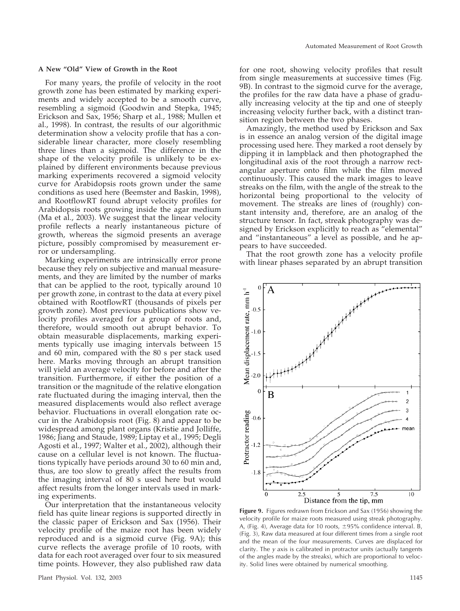### **A New "Old" View of Growth in the Root**

For many years, the profile of velocity in the root growth zone has been estimated by marking experiments and widely accepted to be a smooth curve, resembling a sigmoid (Goodwin and Stepka, 1945; Erickson and Sax, 1956; Sharp et al., 1988; Mullen et al., 1998). In contrast, the results of our algorithmic determination show a velocity profile that has a considerable linear character, more closely resembling three lines than a sigmoid. The difference in the shape of the velocity profile is unlikely to be explained by different environments because previous marking experiments recovered a sigmoid velocity curve for Arabidopsis roots grown under the same conditions as used here (Beemster and Baskin, 1998), and RootflowRT found abrupt velocity profiles for Arabidopsis roots growing inside the agar medium (Ma et al., 2003). We suggest that the linear velocity profile reflects a nearly instantaneous picture of growth, whereas the sigmoid presents an average picture, possibly compromised by measurement error or undersampling.

Marking experiments are intrinsically error prone because they rely on subjective and manual measurements, and they are limited by the number of marks that can be applied to the root, typically around 10 per growth zone, in contrast to the data at every pixel obtained with RootflowRT (thousands of pixels per growth zone). Most previous publications show velocity profiles averaged for a group of roots and, therefore, would smooth out abrupt behavior. To obtain measurable displacements, marking experiments typically use imaging intervals between 15 and 60 min, compared with the 80 s per stack used here. Marks moving through an abrupt transition will yield an average velocity for before and after the transition. Furthermore, if either the position of a transition or the magnitude of the relative elongation rate fluctuated during the imaging interval, then the measured displacements would also reflect average behavior. Fluctuations in overall elongation rate occur in the Arabidopsis root (Fig. 8) and appear to be widespread among plant organs (Kristie and Jolliffe, 1986; Jiang and Staude, 1989; Liptay et al., 1995; Degli Agosti et al., 1997; Walter et al., 2002), although their cause on a cellular level is not known. The fluctuations typically have periods around 30 to 60 min and, thus, are too slow to greatly affect the results from the imaging interval of 80 s used here but would affect results from the longer intervals used in marking experiments.

Our interpretation that the instantaneous velocity field has quite linear regions is supported directly in the classic paper of Erickson and Sax (1956). Their velocity profile of the maize root has been widely reproduced and is a sigmoid curve (Fig. 9A); this curve reflects the average profile of 10 roots, with data for each root averaged over four to six measured time points. However, they also published raw data

for one root, showing velocity profiles that result from single measurements at successive times (Fig. 9B). In contrast to the sigmoid curve for the average, the profiles for the raw data have a phase of gradually increasing velocity at the tip and one of steeply increasing velocity further back, with a distinct transition region between the two phases.

Amazingly, the method used by Erickson and Sax is in essence an analog version of the digital image processing used here. They marked a root densely by dipping it in lampblack and then photographed the longitudinal axis of the root through a narrow rectangular aperture onto film while the film moved continuously. This caused the mark images to leave streaks on the film, with the angle of the streak to the horizontal being proportional to the velocity of movement. The streaks are lines of (roughly) constant intensity and, therefore, are an analog of the structure tensor. In fact, streak photography was designed by Erickson explicitly to reach as "elemental" and "instantaneous" a level as possible, and he appears to have succeeded.

That the root growth zone has a velocity profile with linear phases separated by an abrupt transition



**Figure 9.** Figures redrawn from Erickson and Sax (1956) showing the velocity profile for maize roots measured using streak photography. A, (Fig. 4), Average data for 10 roots,  $\pm 95\%$  confidence interval. B, (Fig. 3), Raw data measured at four different times from a single root and the mean of the four measurements. Curves are displaced for clarity. The *y* axis is calibrated in protractor units (actually tangents of the angles made by the streaks), which are proportional to velocity. Solid lines were obtained by numerical smoothing.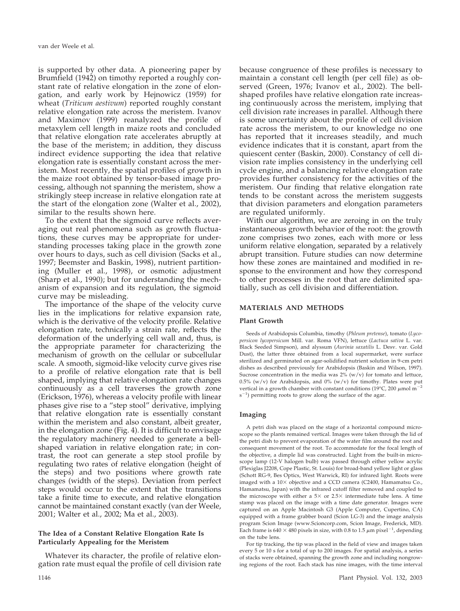is supported by other data. A pioneering paper by Brumfield (1942) on timothy reported a roughly constant rate of relative elongation in the zone of elongation, and early work by Hejnowicz (1959) for wheat (*Triticum aestivum*) reported roughly constant relative elongation rate across the meristem. Ivanov and Maximov (1999) reanalyzed the profile of metaxylem cell length in maize roots and concluded that relative elongation rate accelerates abruptly at the base of the meristem; in addition, they discuss indirect evidence supporting the idea that relative elongation rate is essentially constant across the meristem. Most recently, the spatial profiles of growth in the maize root obtained by tensor-based image processing, although not spanning the meristem, show a strikingly steep increase in relative elongation rate at the start of the elongation zone (Walter et al., 2002), similar to the results shown here.

To the extent that the sigmoid curve reflects averaging out real phenomena such as growth fluctuations, these curves may be appropriate for understanding processes taking place in the growth zone over hours to days, such as cell division (Sacks et al., 1997; Beemster and Baskin, 1998), nutrient partitioning (Muller et al., 1998), or osmotic adjustment (Sharp et al., 1990); but for understanding the mechanism of expansion and its regulation, the sigmoid curve may be misleading.

The importance of the shape of the velocity curve lies in the implications for relative expansion rate, which is the derivative of the velocity profile. Relative elongation rate, technically a strain rate, reflects the deformation of the underlying cell wall and, thus, is the appropriate parameter for characterizing the mechanism of growth on the cellular or subcellular scale. A smooth, sigmoid-like velocity curve gives rise to a profile of relative elongation rate that is bell shaped, implying that relative elongation rate changes continuously as a cell traverses the growth zone (Erickson, 1976), whereas a velocity profile with linear phases give rise to a "step stool" derivative, implying that relative elongation rate is essentially constant within the meristem and also constant, albeit greater, in the elongation zone (Fig. 4). It is difficult to envisage the regulatory machinery needed to generate a bellshaped variation in relative elongation rate; in contrast, the root can generate a step stool profile by regulating two rates of relative elongation (height of the steps) and two positions where growth rate changes (width of the steps). Deviation from perfect steps would occur to the extent that the transitions take a finite time to execute, and relative elongation cannot be maintained constant exactly (van der Weele, 2001; Walter et al., 2002; Ma et al., 2003).

## **The Idea of a Constant Relative Elongation Rate Is Particularly Appealing for the Meristem**

Whatever its character, the profile of relative elongation rate must equal the profile of cell division rate because congruence of these profiles is necessary to maintain a constant cell length (per cell file) as observed (Green, 1976; Ivanov et al., 2002). The bellshaped profiles have relative elongation rate increasing continuously across the meristem, implying that cell division rate increases in parallel. Although there is some uncertainty about the profile of cell division rate across the meristem, to our knowledge no one has reported that it increases steadily, and much evidence indicates that it is constant, apart from the quiescent center (Baskin, 2000). Constancy of cell division rate implies consistency in the underlying cell cycle engine, and a balancing relative elongation rate provides further consistency for the activities of the meristem. Our finding that relative elongation rate tends to be constant across the meristem suggests that division parameters and elongation parameters are regulated uniformly.

With our algorithm, we are zeroing in on the truly instantaneous growth behavior of the root: the growth zone comprises two zones, each with more or less uniform relative elongation, separated by a relatively abrupt transition. Future studies can now determine how these zones are maintained and modified in response to the environment and how they correspond to other processes in the root that are delimited spatially, such as cell division and differentiation.

## **MATERIALS AND METHODS**

#### **Plant Growth**

Seeds of Arabidopsis Columbia, timothy (*Phleum pretense*), tomato (*Lycopersicon lycopersicum* Mill. var. Roma VFN), lettuce (*Lactuca sativa* L. var. Black Seeded Simpson), and alyssum (*Aurinia saxatilis* L. Desv. var. Gold Dust), the latter three obtained from a local supermarket, were surface sterilized and germinated on agar-solidified nutrient solution in 9-cm petri dishes as described previously for Arabidopsis (Baskin and Wilson, 1997). Sucrose concentration in the media was 2% (w/v) for tomato and lettuce, 0.5% (w/v) for Arabidopsis, and 0% (w/v) for timothy. Plates were put vertical in a growth chamber with constant conditions (19°C, 200  $\mu \mathrm{mol\ m}^{-2}$  $s^{-1}$ ) permitting roots to grow along the surface of the agar.

#### **Imaging**

A petri dish was placed on the stage of a horizontal compound microscope so the plants remained vertical. Images were taken through the lid of the petri dish to prevent evaporation of the water film around the root and consequent movement of the root. To accommodate for the focal length of the objective, a dimple lid was constructed. Light from the built-in microscope lamp (12-V halogen bulb) was passed through either yellow acrylic (Plexiglas J2208, Cope Plastic, St. Louis) for broad-band yellow light or glass (Schott RG-9, Bes Optics, West Warwick, RI) for infrared light. Roots were imaged with a  $10\times$  objective and a CCD camera (C2400, Hamamatsu Co., Hamamatsu, Japan) with the infrared cutoff filter removed and coupled to the microscope with either a  $5\times$  or  $2.5\times$  intermediate tube lens. A time stamp was placed on the image with a time date generator. Images were captured on an Apple Macintosh G3 (Apple Computer, Cupertino, CA) equipped with a frame grabber board (Scion LG-3) and the image analysis program Scion Image (www.Scioncorp.com, Scion Image, Frederick, MD). Each frame is  $640 \times 480$  pixels in size, with 0.8 to 1.5  $\mu$ m pixel<sup>-1</sup>, depending on the tube lens.

For tip tracking, the tip was placed in the field of view and images taken every 5 or 10 s for a total of up to 200 images. For spatial analysis, a series of stacks were obtained, spanning the growth zone and including nongrowing regions of the root. Each stack has nine images, with the time interval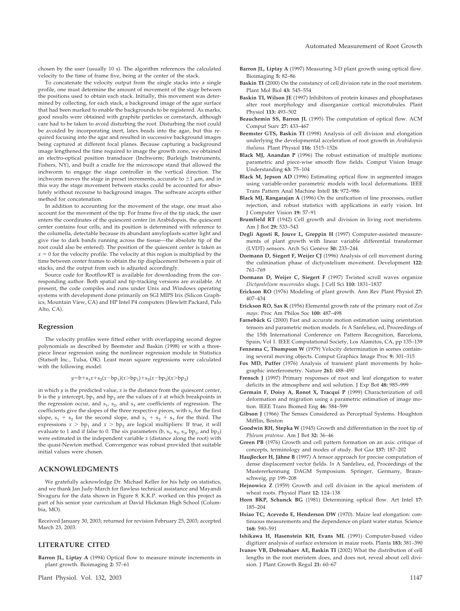chosen by the user (usually 10 s). The algorithm references the calculated velocity to the time of frame five, being at the center of the stack.

To concatenate the velocity output from the single stacks into a single profile, one must determine the amount of movement of the stage between the positions used to obtain each stack. Initially, this movement was determined by collecting, for each stack, a background image of the agar surface that had been marked to enable the backgrounds to be registered. As marks, good results were obtained with graphite particles or cornstarch, although care had to be taken to avoid disturbing the root. Disturbing the root could be avoided by incorporating inert, latex beads into the agar, but this required focusing into the agar and resulted in successive background images being captured at different focal planes. Because capturing a background image lengthened the time required to image the growth zone, we obtained an electro-optical position transducer (Inchworm; Burleigh Instruments, Fishers, NY), and built a cradle for the microscope stand that allowed the inchworm to engage the stage controller in the vertical direction. The inchworm moves the stage in preset increments, accurate to  $\pm 1 \mu$ m, and in this way the stage movement between stacks could be accounted for absolutely without recourse to background images. The software accepts either method for concatenation.

In addition to accounting for the movement of the stage, one must also account for the movement of the tip. For frame five of the tip stack, the user enters the coordinates of the quiescent center (in Arabidopsis, the quiescent center contains four cells, and its position is determined with reference to the columella, detectable because its abundant amyloplasts scatter light and give rise to dark bands running across the tissue—the absolute tip of the root could also be entered). The position of the quiescent center is taken as  $x = 0$  for the velocity profile. The velocity at this region is multiplied by the time between center frames to obtain the tip displacement between a pair of stacks, and the output from each is adjusted accordingly.

Source code for RootflowRT is available for downloading from the corresponding author. Both spatial and tip-tracking versions are available. At present, the code compiles and runs under Unix and Windows operating systems with development done primarily on SGI MIPS Irix (Silicon Graphics, Mountain View, CA) and HP Intel P4 computers (Hewlett Packard, Palo Alto, CA).

#### **Regression**

The velocity profiles were fitted either with overlapping second degree polynomials as described by Beemster and Baskin (1998) or with a threepiece linear regression using the nonlinear regression module in Statistica (Statsoft Inc., Tulsa, OK). Least mean square regressions were calculated with the following model:

 $y=b+s_1x+s_2(x-bp_1)(x>bp_1)+s_3(x-bp_2)(x>bp_2)$ 

in which *y* is the predicted value, *x* is the distance from the quiescent center, b is the *y* intercept,  $bp_1$  and  $bp_2$  are the values of *x* at which breakpoints in the regression occur, and  $s_1$ ,  $s_2$ , and  $s_3$  are coefficients of regression. The coefficients give the slopes of the three respective pieces, with  $s_1$  for the first slope,  $s_1 + s_2$  for the second slope, and  $s_1 + s_2 + s_3$  for the third. The expressions  $x > bp_1$  and  $x > bp_2$  are logical multipliers: If true, it will evaluate to 1 and if false to 0. The six parameters (b,  $s_1$ ,  $s_2$ ,  $s_3$ ,  $bp_1$ , and  $bp_2$ ) were estimated in the independent variable *x* (distance along the root) with the quasi-Newton method. Convergence was robust provided that suitable initial values were chosen.

#### **ACKNOWLEDGMENTS**

We gratefully acknowledge Dr. Michael Keller for his help on statistics, and we thank Jan Judy-March for flawless technical assistance and Mayandi Sivaguru for the data shown in Figure 8. K.K.P. worked on this project as part of his senior year curriculum at David Hickman High School (Columbia, MO).

Received January 30, 2003; returned for revision February 25, 2003; accepted March 23, 2003.

#### **LITERATURE CITED**

**Barron JL, Liptay A** (1994) Optical flow to measure minute increments in plant growth. Bioimaging **2:** 57–61

- **Barron JL, Liptay A** (1997) Measuring 3-D plant growth using optical flow. Bioimaging **5:** 82–86
- **Baskin TI** (2000) On the constancy of cell division rate in the root meristem. Plant Mol Biol **43:** 545–554
- **Baskin TI, Wilson JE** (1997) Inhibitors of protein kinases and phosphatases alter root morphology and disorganize cortical microtubules. Plant Physiol **113:** 493–502
- **Beauchemin SS, Barron JL** (1995) The computation of optical flow. ACM Comput Surv **27:** 433–467
- **Beemster GTS, Baskin TI** (1998) Analysis of cell division and elongation underlying the developmental acceleration of root growth in *Arabidopsis thaliana*. Plant Physiol **116:** 1515–1526
- **Black MJ, Anandan P** (1996) The robust estimation of multiple motions: parametric and piece-wise smooth flow fields. Comput Vision Image Understanding **63:** 75–104
- **Black M, Jepson AD** (1996) Estimating optical flow in segmented images using variable-order parametric models with local deformations. IEEE Trans Pattern Anal Machine Intell **18:** 972–986
- **Black MJ, Rangarajan A** (1996) On the unification of line processes, outlier rejection, and robust statistics with applications in early vision. Int J Computer Vision **19:** 57–91
- **Brumfield RT** (1942) Cell growth and division in living root meristems. Am J Bot **29:** 533–543
- **Degli Agosti R, Jouve L, Greppin H** (1997) Computer-assisted measurements of plant growth with linear variable differential transformer (LVDT) sensors. Arch Sci Gene`ve **50:** 233–244
- **Dormann D, Siegert F, Weijer CJ** (1996) Analysis of cell movement during the culmination phase of dictyostelium movement. Development **122:** 761–769
- **Dormann D, Weijer C, Siegert F** (1997) Twisted scroll waves organize *Dictyostelium mucoroides* slugs. J Cell Sci **110:** 1831–1837
- **Erickson RO** (1976) Modeling of plant growth. Ann Rev Plant Physiol **27:** 407–434
- **Erickson RO, Sax K** (1956) Elemental growth rate of the primary root of *Zea mays*. Proc Am Philos Soc **100:** 487–498
- Farnebäck G (2000) Fast and accurate motion estimation using orientation tensors and parametric motion models. *In* A Sanfelieu, ed, Proceedings of the 15th International Conference on Pattern Recognition, Barcelona, Spain, Vol 1. IEEE Computational Society, Los Alamitos, CA, pp 135–139
- **Fennema C, Thompson W** (1979) Velocity determination in scenes containing several moving objects. Comput Graphics Image Proc **9:** 301–315
- **Fox MD, Puffer** (1976) Analysis of transient plant movements by holographic interferometry. Nature **261:** 488–490
- **Frensch J** (1997) Primary responses of root and leaf elongation to water deficits in the atmosphere and soil solution. J Exp Bot **48:** 985–999
- **Germain F, Doisy A, Ronot X, Tracqui P** (1999) Characterization of cell deformation and migration using a parametric estimation of image motion. IEEE Trans Biomed Eng **46:** 584–599
- **Gibson J** (1966) The Senses Considered as Perceptual Systems. Houghton Mifflin, Boston
- **Goodwin RH, Stepka W** (1945) Growth and differentiation in the root tip of *Phleum pratense*. Am J Bot **32:** 36–46
- **Green PB** (1976) Growth and cell pattern formation on an axis: critique of concepts, terminology and modes of study. Bot Gaz **137:** 187–202
- Haußecker H, Jähne B (1997) A tensor approach for precise computation of dense displacement vector fields. *In* A Sanfelieu, ed, Proceedings of the Mustererkennung DAGM Symposium. Springer, Germany, Braunschweig, pp 199–208
- **Hejnowicz Z** (1959) Growth and cell division in the apical meristem of wheat roots. Physiol Plant **12:** 124–138
- **Horn BKP, Schunck BG** (1981) Determining optical flow. Art Intel **17:** 185–204
- **Hsiao TC, Acevedo E, Henderson DW** (1970). Maize leaf elongation: continuous measurements and the dependence on plant water status. Science **168:** 590–591
- **Ishikawa H, Hasenstein KH, Evans ML** (1991) Computer-based video digitizer analysis of surface extension in maize roots. Planta **183:** 381–390
- **Ivanov VB, Dobroahaev AE, Baskin TI** (2002) What the distribution of cell lengths in the root meristem does, and does not, reveal about cell division. J Plant Growth Regul **21:** 60–67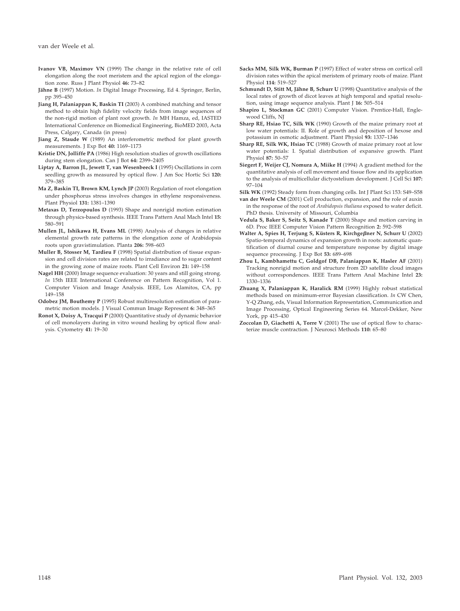- **Ivanov VB, Maximov VN** (1999) The change in the relative rate of cell elongation along the root meristem and the apical region of the elongation zone. Russ J Plant Physiol **46:** 73–82
- Jähne B (1997) Motion. *In* Digital Image Processing, Ed 4. Springer, Berlin, pp 395–450
- **Jiang H, Palaniappan K, Baskin TI** (2003) A combined matching and tensor method to obtain high fidelity velocity fields from image sequences of the non-rigid motion of plant root growth. *In* MH Hamza, ed, IASTED International Conference on Biomedical Engineering, BioMED 2003, Acta Press, Calgary, Canada (in press)
- **Jiang Z, Staude W** (1989) An interferometric method for plant growth measurements. J Exp Bot **40:** 1169–1173
- **Kristie DN, Jolliffe PA** (1986) High resolution studies of growth oscillations during stem elongation. Can J Bot **64:** 2399–2405
- **Liptay A, Barron JL, Jewett T, van Wesenbeeck I** (1995) Oscillations in corn seedling growth as measured by optical flow. J Am Soc Hortic Sci **120:** 379–385
- **Ma Z, Baskin TI, Brown KM, Lynch JP** (2003) Regulation of root elongation under phosphorus stress involves changes in ethylene responsiveness. Plant Physiol **131:** 1381–1390
- **Metaxas D, Terzopoulos D** (1993) Shape and nonrigid motion estimation through physics-based synthesis. IEEE Trans Pattern Anal Mach Intel **15:** 580–591
- **Mullen JL, Ishikawa H, Evans ML** (1998) Analysis of changes in relative elemental growth rate patterns in the elongation zone of Arabidopsis roots upon gravistimulation. Planta **206:** 598–603
- **Muller B, Stosser M, Tardieu F** (1998) Spatial distribution of tissue expansion and cell division rates are related to irradiance and to sugar content in the growing zone of maize roots. Plant Cell Environ **21:** 149–158
- **Nagel HH** (2000) Image sequence evaluation: 30 years and still going strong. *In* 15th IEEE International Conference on Pattern Recognition, Vol 1. Computer Vision and Image Analysis. IEEE, Los Alamitos, CA, pp 149–158
- **Odobez JM, Bouthemy P** (1995) Robust multiresolution estimation of parametric motion models. J Visual Commun Image Represent **6:** 348–365
- **Ronot X, Doisy A, Tracqui P** (2000) Quantitative study of dynamic behavior of cell monolayers during in vitro wound healing by optical flow analysis. Cytometry **41:** 19–30
- **Sacks MM, Silk WK, Burman P** (1997) Effect of water stress on cortical cell division rates within the apical meristem of primary roots of maize. Plant Physiol **114:** 519–527
- **Schmundt D, Stitt M, Jähne B, Schurr U** (1998) Quantitative analysis of the local rates of growth of dicot leaves at high temporal and spatial resolution, using image sequence analysis. Plant J **16:** 505–514
- **Shapiro L, Stockman GC** (2001) Computer Vision. Prentice-Hall, Englewood Cliffs, NJ
- **Sharp RE, Hsiao TC, Silk WK** (1990) Growth of the maize primary root at low water potentials: II. Role of growth and deposition of hexose and potassium in osmotic adjustment. Plant Physiol **93:** 1337–1346
- **Sharp RE, Silk WK, Hsiao TC** (1988) Growth of maize primary root at low water potentials: I. Spatial distribution of expansive growth. Plant Physiol **87:** 50–57
- **Siegert F, Weijer CJ, Nomura A, Miike H** (1994) A gradient method for the quantitative analysis of cell movement and tissue flow and its application to the analysis of multicellular dictyostelium development. J Cell Sci **107:** 97–104

**Silk WK** (1992) Steady form from changing cells. Int J Plant Sci 153: S49–S58 **van der Weele CM** (2001) Cell production, expansion, and the role of auxin in the response of the root of *Arabidopsis thaliana* exposed to water deficit. PhD thesis. University of Missouri, Columbia

- **Vedula S, Baker S, Seitz S, Kanade T** (2000) Shape and motion carving in 6D. Proc IEEE Computer Vision Pattern Recognition **2:** 592–598
- **Walter A, Spies H, Terjung S, Ku¨ sters R, Kirchgener N, Schurr U** (2002) Spatio-temporal dynamics of expansion growth in roots: automatic quantification of diurnal course and temperature response by digital image sequence processing. J Exp Bot **53:** 689–698
- **Zhou L, Kambhamettu C, Goldgof DB, Palaniappan K, Hasler AF** (2001) Tracking nonrigid motion and structure from 2D satellite cloud images without correspondences. IEEE Trans Pattern Anal Machine Intel **23:** 1330–1336
- **Zhuang X, Palaniappan K, Haralick RM** (1999) Highly robust statistical methods based on minimum-error Bayesian classification. *In* CW Chen, Y-Q Zhang, eds, Visual Information Representation, Communication and Image Processing, Optical Engineering Series 64. Marcel-Dekker, New York, pp 415–430
- **Zoccolan D, Giachetti A, Torre V** (2001) The use of optical flow to characterize muscle contraction. J Neurosci Methods **110:** 65–80